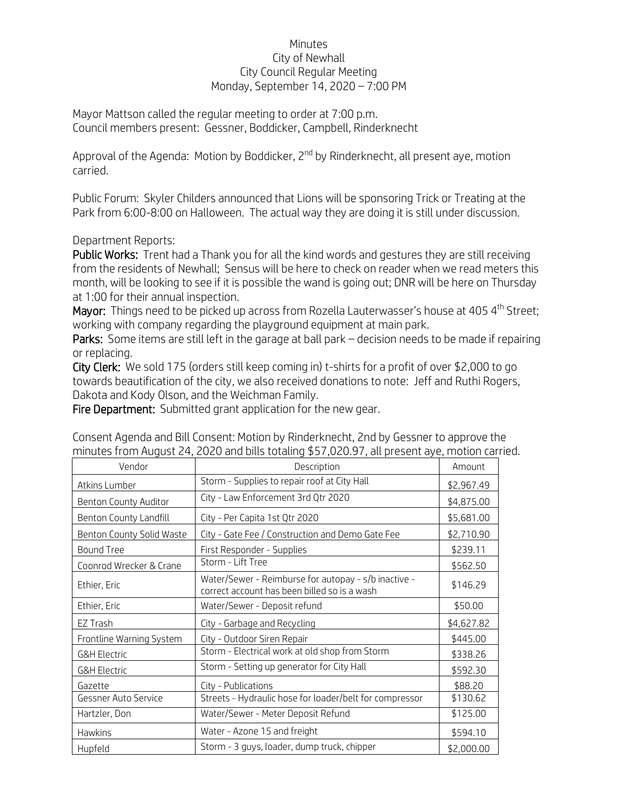## Minutes City of Newhall City Council Regular Meeting Monday, September 14, 2020 – 7:00 PM

Mayor Mattson called the regular meeting to order at 7:00 p.m. Council members present: Gessner, Boddicker, Campbell, Rinderknecht

Approval of the Agenda: Motion by Boddicker, 2<sup>nd</sup> by Rinderknecht, all present aye, motion carried.

Public Forum: Skyler Childers announced that Lions will be sponsoring Trick or Treating at the Park from 6:00-8:00 on Halloween. The actual way they are doing it is still under discussion.

Department Reports:

Public Works: Trent had a Thank you for all the kind words and gestures they are still receiving from the residents of Newhall; Sensus will be here to check on reader when we read meters this month, will be looking to see if it is possible the wand is going out; DNR will be here on Thursday at 1:00 for their annual inspection.

Mayor: Things need to be picked up across from Rozella Lauterwasser's house at 405 4<sup>th</sup> Street; working with company regarding the playground equipment at main park.

Parks: Some items are still left in the garage at ball park – decision needs to be made if repairing or replacing.

City Clerk: We sold 175 (orders still keep coming in) t-shirts for a profit of over \$2,000 to go towards beautification of the city, we also received donations to note: Jeff and Ruthi Rogers, Dakota and Kody Olson, and the Weichman Family.

Fire Department: Submitted grant application for the new gear.

| Vendor                    | Description                                                                                          | Amount     |
|---------------------------|------------------------------------------------------------------------------------------------------|------------|
| Atkins Lumber             | Storm - Supplies to repair roof at City Hall                                                         | \$2,967.49 |
| Benton County Auditor     | City - Law Enforcement 3rd Qtr 2020                                                                  | \$4,875.00 |
| Benton County Landfill    | City - Per Capita 1st Qtr 2020                                                                       | \$5,681.00 |
| Benton County Solid Waste | City - Gate Fee / Construction and Demo Gate Fee                                                     | \$2,710.90 |
| <b>Bound Tree</b>         | First Responder - Supplies                                                                           | \$239.11   |
| Coonrod Wrecker & Crane   | Storm - Lift Tree                                                                                    | \$562.50   |
| Ethier, Eric              | Water/Sewer - Reimburse for autopay - s/b inactive -<br>correct account has been billed so is a wash | \$146.29   |
| Ethier, Eric              | Water/Sewer - Deposit refund                                                                         | \$50.00    |
| EZ Trash                  | City - Garbage and Recycling                                                                         | \$4,627.82 |
| Frontline Warning System  | City - Outdoor Siren Repair                                                                          | \$445.00   |
| <b>G&amp;H Electric</b>   | Storm - Electrical work at old shop from Storm                                                       | \$338.26   |
| <b>G&amp;H Electric</b>   | Storm - Setting up generator for City Hall                                                           | \$592.30   |
| Gazette                   | City - Publications                                                                                  | \$88.20    |
| Gessner Auto Service      | Streets - Hydraulic hose for loader/belt for compressor                                              | \$130.62   |
| Hartzler, Don             | Water/Sewer - Meter Deposit Refund                                                                   | \$125.00   |
| <b>Hawkins</b>            | Water - Azone 15 and freight                                                                         | \$594.10   |
| Hupfeld                   | Storm - 3 guys, loader, dump truck, chipper                                                          | \$2,000.00 |

Consent Agenda and Bill Consent: Motion by Rinderknecht, 2nd by Gessner to approve the minutes from August 24, 2020 and bills totaling \$57,020.97, all present aye, motion carried.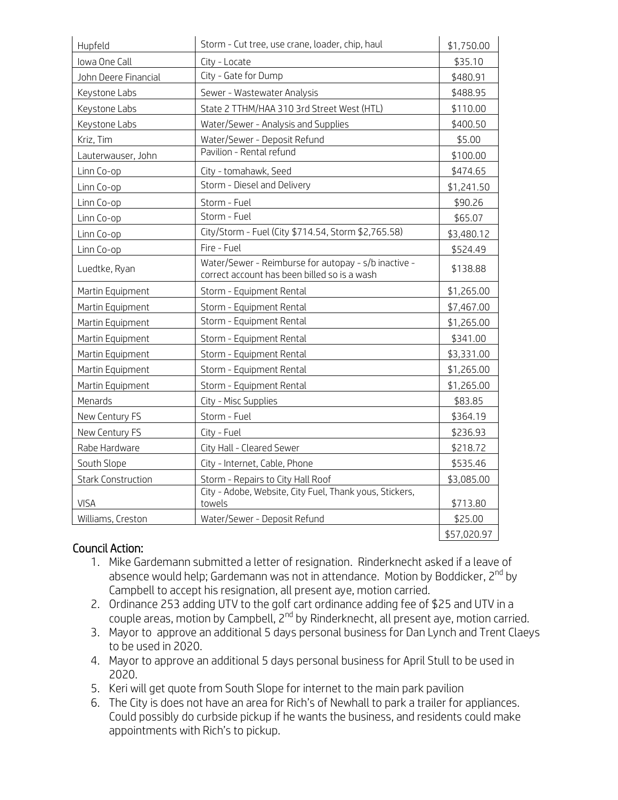| Hupfeld                   | Storm - Cut tree, use crane, loader, chip, haul                                                      | \$1,750.00  |
|---------------------------|------------------------------------------------------------------------------------------------------|-------------|
| Iowa One Call             | City - Locate                                                                                        | \$35.10     |
| John Deere Financial      | City - Gate for Dump                                                                                 | \$480.91    |
| Keystone Labs             | Sewer - Wastewater Analysis                                                                          | \$488.95    |
| Keystone Labs             | State 2 TTHM/HAA 310 3rd Street West (HTL)                                                           | \$110.00    |
| Keystone Labs             | Water/Sewer - Analysis and Supplies                                                                  | \$400.50    |
| Kriz, Tim                 | Water/Sewer - Deposit Refund                                                                         | \$5.00      |
| Lauterwauser, John        | Pavilion - Rental refund                                                                             | \$100.00    |
| Linn Co-op                | City - tomahawk, Seed                                                                                | \$474.65    |
| Linn Co-op                | Storm - Diesel and Delivery                                                                          | \$1,241.50  |
| Linn Co-op                | Storm - Fuel                                                                                         | \$90.26     |
| Linn Co-op                | Storm - Fuel                                                                                         | \$65.07     |
| Linn Co-op                | City/Storm - Fuel (City \$714.54, Storm \$2,765.58)                                                  | \$3,480.12  |
| Linn Co-op                | Fire - Fuel                                                                                          | \$524.49    |
| Luedtke, Ryan             | Water/Sewer - Reimburse for autopay - s/b inactive -<br>correct account has been billed so is a wash | \$138.88    |
| Martin Equipment          | Storm - Equipment Rental                                                                             | \$1,265.00  |
| Martin Equipment          | Storm - Equipment Rental                                                                             | \$7,467.00  |
| Martin Equipment          | Storm - Equipment Rental                                                                             | \$1,265.00  |
| Martin Equipment          | Storm - Equipment Rental                                                                             | \$341.00    |
| Martin Equipment          | Storm - Equipment Rental                                                                             | \$3,331.00  |
| Martin Equipment          | Storm - Equipment Rental                                                                             | \$1,265.00  |
| Martin Equipment          | Storm - Equipment Rental                                                                             | \$1,265.00  |
| Menards                   | City - Misc Supplies                                                                                 | \$83.85     |
| New Century FS            | Storm - Fuel                                                                                         | \$364.19    |
| New Century FS            | City - Fuel                                                                                          | \$236.93    |
| Rabe Hardware             | City Hall - Cleared Sewer                                                                            | \$218.72    |
| South Slope               | City - Internet, Cable, Phone                                                                        | \$535.46    |
| <b>Stark Construction</b> | Storm - Repairs to City Hall Roof                                                                    | \$3,085.00  |
| <b>VISA</b>               | City - Adobe, Website, City Fuel, Thank yous, Stickers,<br>towels                                    | \$713.80    |
| Williams, Creston         | Water/Sewer - Deposit Refund                                                                         | \$25.00     |
|                           |                                                                                                      | \$57,020.97 |

## Council Action:

- 1. Mike Gardemann submitted a letter of resignation. Rinderknecht asked if a leave of absence would help; Gardemann was not in attendance. Motion by Boddicker, 2<sup>nd</sup> by Campbell to accept his resignation, all present aye, motion carried.
- 2. Ordinance 253 adding UTV to the golf cart ordinance adding fee of \$25 and UTV in a couple areas, motion by Campbell, 2<sup>nd</sup> by Rinderknecht, all present aye, motion carried.
- 3. Mayor to approve an additional 5 days personal business for Dan Lynch and Trent Claeys to be used in 2020.
- 4. Mayor to approve an additional 5 days personal business for April Stull to be used in 2020.
- 5. Keri will get quote from South Slope for internet to the main park pavilion
- 6. The City is does not have an area for Rich's of Newhall to park a trailer for appliances. Could possibly do curbside pickup if he wants the business, and residents could make appointments with Rich's to pickup.